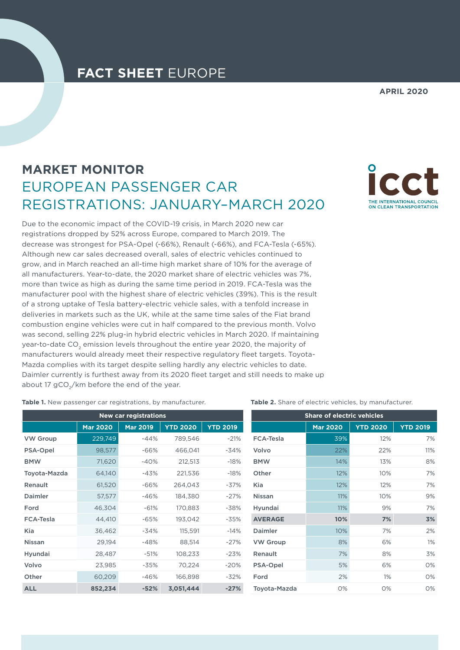## **FACT SHEET** EUROPE

## **APRIL 2020**

## **MARKET MONITOR** EUROPEAN PASSENGER CAR REGISTRATIONS: JANUARY–MARCH 2020

Due to the economic impact of the COVID-19 crisis, in March 2020 new car registrations dropped by 52% across Europe, compared to March 2019. The decrease was strongest for PSA-Opel (-66%), Renault (-66%), and FCA-Tesla (-65%). Although new car sales decreased overall, sales of electric vehicles continued to grow, and in March reached an all-time high market share of 10% for the average of all manufacturers. Year-to-date, the 2020 market share of electric vehicles was 7%, more than twice as high as during the same time period in 2019. FCA-Tesla was the manufacturer pool with the highest share of electric vehicles (39%). This is the result of a strong uptake of Tesla battery-electric vehicle sales, with a tenfold increase in deliveries in markets such as the UK, while at the same time sales of the Fiat brand combustion engine vehicles were cut in half compared to the previous month. Volvo was second, selling 22% plug-in hybrid electric vehicles in March 2020. If maintaining year-to-date CO<sub>2</sub> emission levels throughout the entire year 2020, the majority of manufacturers would already meet their respective regulatory fleet targets. Toyota-Mazda complies with its target despite selling hardly any electric vehicles to date. Daimler currently is furthest away from its 2020 fleet target and still needs to make up about 17 gCO<sub>2</sub>/km before the end of the year.

ON CLEAN TRANSPORTATION

**Table 1.** New passenger car registrations, by manufacturer.

| <b>New car registrations</b> |                 |                 |                 |                 | <b>Share of electric vehicles</b> |                 |                 |                 |
|------------------------------|-----------------|-----------------|-----------------|-----------------|-----------------------------------|-----------------|-----------------|-----------------|
|                              | <b>Mar 2020</b> | <b>Mar 2019</b> | <b>YTD 2020</b> | <b>YTD 2019</b> |                                   | <b>Mar 2020</b> | <b>YTD 2020</b> | <b>YTD 2019</b> |
| <b>VW Group</b>              | 229,749         | $-44%$          | 789,546         | $-21%$          | <b>FCA-Tesla</b>                  | 39%             | 12%             | 7%              |
| PSA-Opel                     | 98,577          | $-66%$          | 466,041         | $-34%$          | Volvo                             | 22%             | 22%             | 11%             |
| <b>BMW</b>                   | 71,620          | $-40%$          | 212,513         | $-18%$          | <b>BMW</b>                        | 14%             | 13%             | 8%              |
| Toyota-Mazda                 | 64,140          | $-43%$          | 221,536         | $-18%$          | Other                             | 12%             | 10%             | 7%              |
| Renault                      | 61,520          | $-66%$          | 264,043         | -37%            | Kia                               | 12%             | 12%             | 7%              |
| Daimler                      | 57,577          | $-46%$          | 184,380         | $-27%$          | <b>Nissan</b>                     | 11%             | 10%             | 9%              |
| Ford                         | 46,304          | $-61%$          | 170,883         | $-38%$          | Hyundai                           | 11%             | 9%              | 7%              |
| <b>FCA-Tesla</b>             | 44,410          | $-65%$          | 193,042         | $-35%$          | <b>AVERAGE</b>                    | 10%             | 7%              | 3%              |
| Kia                          | 36,462          | $-34%$          | 115,591         | $-14%$          | Daimler                           | 10%             | 7%              | 2%              |
| <b>Nissan</b>                | 29,194          | $-48%$          | 88,514          | $-27%$          | <b>VW Group</b>                   | 8%              | 6%              | 1%              |
| Hyundai                      | 28,487          | $-51%$          | 108,233         | $-23%$          | Renault                           | 7%              | 8%              | 3%              |
| Volvo                        | 23,985          | $-35%$          | 70,224          | $-20%$          | PSA-Opel                          | 5%              | 6%              | 0%              |
| Other                        | 60,209          | $-46%$          | 166,898         | $-32%$          | Ford                              | 2%              | 1%              | 0%              |
| <b>ALL</b>                   | 852,234         | $-52%$          | 3,051,444       | $-27%$          | Toyota-Mazda                      | 0%              | 0%              | 0%              |

**Table 2.** Share of electric vehicles, by manufacturer.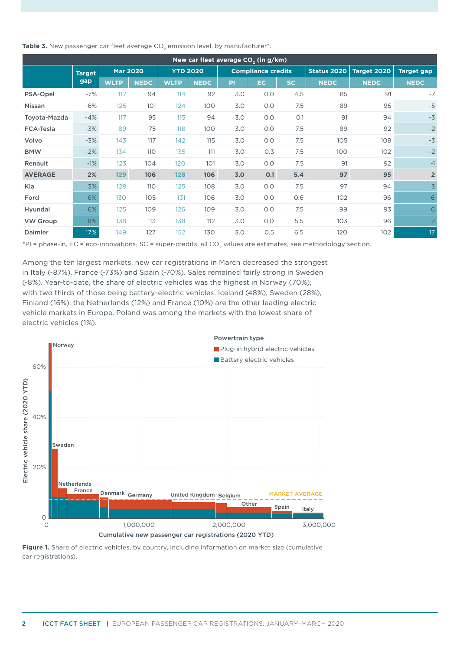| Table 3. New passenger car fleet average CO <sub>2</sub> emission level, by manufacturer <sup>*</sup> . |  |  |
|---------------------------------------------------------------------------------------------------------|--|--|
|---------------------------------------------------------------------------------------------------------|--|--|

| New car fleet average CO <sub>2</sub> (in g/km) |               |                 |             |                 |     |                           |     |                    |             |                   |                |
|-------------------------------------------------|---------------|-----------------|-------------|-----------------|-----|---------------------------|-----|--------------------|-------------|-------------------|----------------|
|                                                 | <b>Target</b> | <b>Mar 2020</b> |             | <b>YTD 2020</b> |     | <b>Compliance credits</b> |     | <b>Status 2020</b> | Target 2020 | <b>Target gap</b> |                |
| gap                                             | <b>WLTP</b>   | <b>NEDC</b>     | <b>WLTP</b> | <b>NEDC</b>     | PI  | EC.                       | SC. | <b>NEDC</b>        | <b>NEDC</b> | <b>NEDC</b>       |                |
| <b>PSA-Opel</b>                                 | $-7%$         | 117             | 94          | 114             | 92  | 3.0                       | 0.0 | 4.5                | 85          | 91                | $-7$           |
| <b>Nissan</b>                                   | $-6%$         | 125             | 101         | 124             | 100 | 3.0                       | 0.0 | 7.5                | 89          | 95                | $-5$           |
| Toyota-Mazda                                    | $-4%$         | 117             | 95          | 115             | 94  | 3.0                       | 0.0 | O.1                | 91          | 94                | $-3$           |
| <b>FCA-Tesla</b>                                | $-3%$         | 89              | 75          | 118             | 100 | 3.0                       | 0.0 | 7.5                | 89          | 92                | $-2$           |
| Volvo                                           | $-3%$         | 143             | 117         | 142             | 115 | 3.0                       | 0.0 | 7.5                | 105         | 108               | $-3$           |
| <b>BMW</b>                                      | $-2%$         | 134             | 110         | 135             | 111 | 3.0                       | 0.3 | 7.5                | 100         | 102               | $-2$           |
| Renault                                         | $-1%$         | 123             | 104         | 120             | 101 | 3.0                       | 0.0 | 7.5                | 91          | 92                | $-1$           |
| <b>AVERAGE</b>                                  | 2%            | 129             | 106         | 128             | 106 | 3.0                       | 0.1 | 5.4                | 97          | 95                | $\overline{2}$ |
| Kia                                             | 3%            | 128             | 110         | 125             | 108 | 3.0                       | 0.0 | 7.5                | 97          | 94                | $\overline{3}$ |
| Ford                                            | 6%            | 130             | 105         | 131             | 106 | 3.0                       | 0.0 | 0.6                | 102         | 96                | 6              |
| Hyundai                                         | 6%            | 125             | 109         | 126             | 109 | 3.0                       | 0.0 | 7.5                | 99          | 93                | 6              |
| <b>VW Group</b>                                 | 8%            | 138             | 113         | 138             | 112 | 3.0                       | 0.0 | 5.5                | 103         | 96                | $\overline{7}$ |
| Daimler                                         | 17%           | 149             | 127         | 152             | 130 | 3.0                       | 0.5 | 6.5                | 120         | 102               | 17             |

\*PI = phase-in, EC = eco-innovations, SC = super-credits; all CO<sub>2</sub> values are estimates, see methodology section.

Among the ten largest markets, new car registrations in March decreased the strongest in Italy (-87%), France (-73%) and Spain (-70%). Sales remained fairly strong in Sweden (-8%). Year-to-date, the share of electric vehicles was the highest in Norway (70%), with two thirds of those being battery-electric vehicles. Iceland (48%), Sweden (28%), Finland (16%), the Netherlands (12%) and France (10%) are the other leading electric vehicle markets in Europe. Poland was among the markets with the lowest share of electric vehicles (1%).



**Figure 1.** Share of electric vehicles, by country, including information on market size (cumulative car registrations).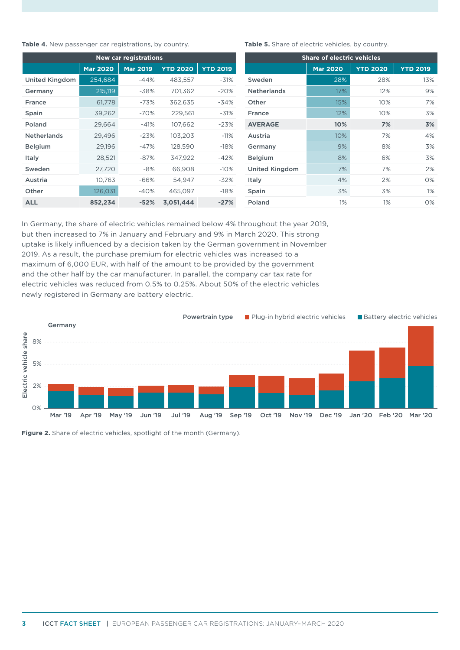**Table 4.** New passenger car registrations, by country.

| <b>New car registrations</b> |                 |                 |                 |                 |  |  |  |
|------------------------------|-----------------|-----------------|-----------------|-----------------|--|--|--|
|                              | <b>Mar 2020</b> | <b>Mar 2019</b> | <b>YTD 2020</b> | <b>YTD 2019</b> |  |  |  |
| <b>United Kingdom</b>        | 254,684         | $-44%$          | 483,557         | $-31%$          |  |  |  |
| Germany                      | 215,119         | -38%            | 701,362         | $-20%$          |  |  |  |
| France                       | 61,778          | $-73%$          | 362,635         | $-34%$          |  |  |  |
| Spain                        | 39,262          | $-70%$          | 229,561         | $-31%$          |  |  |  |
| Poland                       | 29,664          | $-41%$          | 107,662         | $-23%$          |  |  |  |
| <b>Netherlands</b>           | 29,496          | $-23%$          | 103,203         | $-11%$          |  |  |  |
| <b>Belgium</b>               | 29,196          | $-47%$          | 128,590         | $-18%$          |  |  |  |
| Italy                        | 28,521          | $-87%$          | 347,922         | -42%            |  |  |  |
| Sweden                       | 27,720          | $-8%$           | 66,908          | $-10%$          |  |  |  |
| Austria                      | 10,763          | $-66%$          | 54,947          | $-32%$          |  |  |  |
| Other                        | 126,031         | $-40%$          | 465,097         | $-18%$          |  |  |  |
| <b>ALL</b>                   | 852,234         | $-52%$          | 3,051,444       | $-27%$          |  |  |  |

Table 5. Share of electric vehicles, by country.

| <b>Share of electric vehicles</b> |                 |                 |                 |  |  |  |
|-----------------------------------|-----------------|-----------------|-----------------|--|--|--|
|                                   | <b>Mar 2020</b> | <b>YTD 2020</b> | <b>YTD 2019</b> |  |  |  |
| Sweden                            | 28%             | 28%             | 13%             |  |  |  |
| <b>Netherlands</b>                | 17%             | 12%             | 9%              |  |  |  |
| Other                             | 15%             | 10%             | 7%              |  |  |  |
| <b>France</b>                     | 12%             | 10%             | 3%              |  |  |  |
| <b>AVERAGE</b>                    | 10%             | 7%              | 3%              |  |  |  |
| Austria                           | 10%             | 7%              | 4%              |  |  |  |
| Germany                           | 9%              | 8%              | 3%              |  |  |  |
| <b>Belgium</b>                    | 8%              | 6%              | 3%              |  |  |  |
| <b>United Kingdom</b>             | 7%              | 7%              | 2%              |  |  |  |
| Italy                             | 4%              | 2%              | $O\%$           |  |  |  |
| Spain                             | 3%              | 3%              | $1\%$           |  |  |  |
| Poland                            | 1%              | 1%              | $O\%$           |  |  |  |

In Germany, the share of electric vehicles remained below 4% throughout the year 2019, but then increased to 7% in January and February and 9% in March 2020. This strong uptake is likely influenced by a decision taken by the German government in November 2019. As a result, the purchase premium for electric vehicles was increased to a maximum of 6,000 EUR, with half of the amount to be provided by the government and the other half by the car manufacturer. In parallel, the company car tax rate for electric vehicles was reduced from 0.5% to 0.25%. About 50% of the electric vehicles newly registered in Germany are battery electric.



**Figure 2.** Share of electric vehicles, spotlight of the month (Germany).